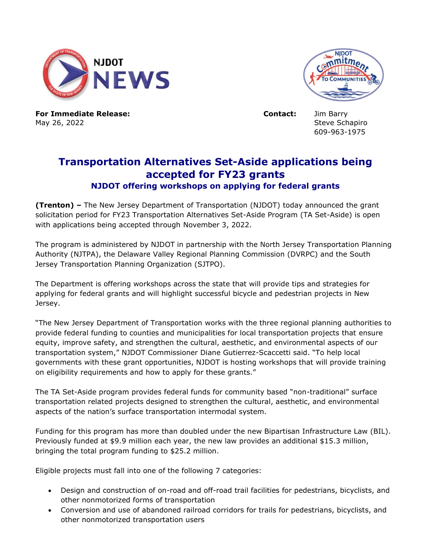



**For Immediate Release: Contact:** Jim Barry May 26, 2022 Steve Schapiro

609-963-1975

## **Transportation Alternatives Set-Aside applications being accepted for FY23 grants NJDOT offering workshops on applying for federal grants**

**(Trenton) –** The New Jersey Department of Transportation (NJDOT) today announced the grant solicitation period for FY23 Transportation Alternatives Set-Aside Program (TA Set-Aside) is open with applications being accepted through November 3, 2022.

The program is administered by NJDOT in partnership with the North Jersey Transportation Planning Authority (NJTPA), the Delaware Valley Regional Planning Commission (DVRPC) and the South Jersey Transportation Planning Organization (SJTPO).

The Department is offering workshops across the state that will provide tips and strategies for applying for federal grants and will highlight successful bicycle and pedestrian projects in New Jersey.

"The New Jersey Department of Transportation works with the three regional planning authorities to provide federal funding to counties and municipalities for local transportation projects that ensure equity, improve safety, and strengthen the cultural, aesthetic, and environmental aspects of our transportation system," NJDOT Commissioner Diane Gutierrez-Scaccetti said. "To help local governments with these grant opportunities, NJDOT is hosting workshops that will provide training on eligibility requirements and how to apply for these grants."

The TA Set-Aside program provides federal funds for community based "non-traditional" surface transportation related projects designed to strengthen the cultural, aesthetic, and environmental aspects of the nation's surface transportation intermodal system.

Funding for this program has more than doubled under the new Bipartisan Infrastructure Law (BIL). Previously funded at \$9.9 million each year, the new law provides an additional \$15.3 million, bringing the total program funding to \$25.2 million.

Eligible projects must fall into one of the following 7 categories:

- Design and construction of on-road and off-road trail facilities for pedestrians, bicyclists, and other nonmotorized forms of transportation
- Conversion and use of abandoned railroad corridors for trails for pedestrians, bicyclists, and other nonmotorized transportation users